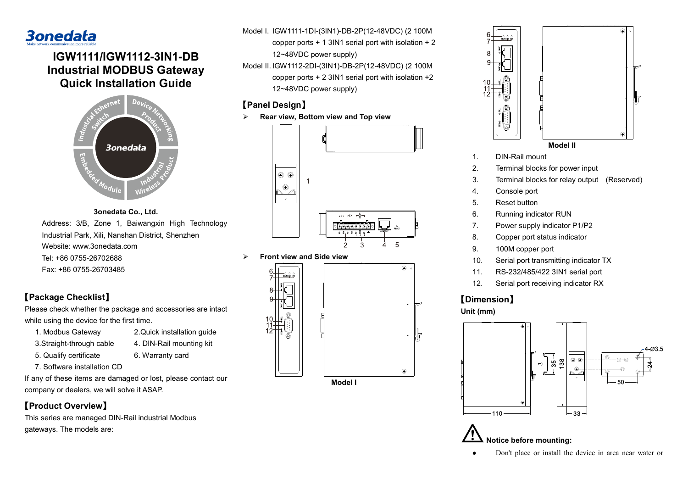

# **IGW1111/IGW1112-3IN1-DB Industrial MODBUS Gateway Quick Installation Guide**



**3onedata Co., Ltd.** Address: 3/B, Zone 1, Baiwangxin High Technology Industrial Park, Xili, Nanshan District, Shenzhen Website: www.3onedata.com Tel: +86 0755-26702688 Fax: +86 0755-26703485

## **【Package Checklist】**

Please check whether the package and accessories are intact while using the device for the first time.

- 1. Modbus Gateway 2.Quick installation guide
- 3.Straight-through cable 4. DIN-Rail mounting kit
- 5. Qualify certificate 6. Warranty card
- 7. Software installation CD

If any of these items are damaged or lost, please contact our company or dealers, we will solve it ASAP.

# **【Product Overview】**

This series are managed DIN-Rail industrial Modbus gateways. The models are:

Model I. IGW1111-1DI-(3IN1)-DB-2P(12-48VDC) (2 100M

- copper ports + 1 3IN1 serial port with isolation + 2 12~48VDC power supply)
- Model II. IGW1112-2DI-(3IN1)-DB-2P(12-48VDC) (2 100M copper ports + 2 3IN1 serial port with isolation +2 12~48VDC power supply)

# **【Panel Design】**

**Rear view, Bottom view and Top view**



**Front view and Side view**





**Model II**

- 1. DIN-Rail mount
- 2. Terminal blocks for power input
- 3. Terminal blocks for relay output (Reserved)
- 4. Console port
- 5. Reset button
- 6. Running indicator RUN
- 7. Power supply indicator P1/P2
- 8. Copper port status indicator
- 9. 100M copper port
- 10. Serial port transmitting indicator TX
- 11. RS-232/485/422 3IN1 serial port
- 12. Serial port receiving indicator RX

# **【Dimension】**

### **Unit (mm)**



**Notice before mounting:**

Don't place or install the device in area near water or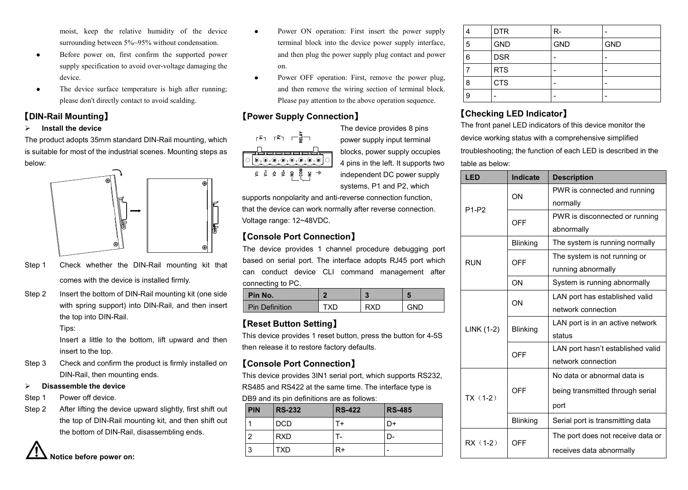moist, keep the relative humidity of the device surrounding between 5%~95% without condensation.

- Before power on, first confirm the supported power supply specification to avoid over-voltage damaging the device.
- The device surface temperature is high after running; please don't directly contact to avoid scalding.

#### **【DIN-Rail Mounting】**

#### **Install the device**

The product adopts 35mm standard DIN-Rail mounting, which is suitable for most of the industrial scenes. Mounting steps as below:



- Step 1 Check whether the DIN-Rail mounting kit that comes with the device is installed firmly.
- Step 2 Insert the bottom of DIN-Rail mounting kit (one side with spring support) into DIN-Rail, and then insert the top into DIN-Rail.

Tips:

Insert a little to the bottom, lift upward and then insert to the top.

Step 3 Check and confirm the product is firmly installed on DIN-Rail, then mounting ends.

#### **Disassemble the device**

- Step 1 Power off device.
- Step 2 After lifting the device upward slightly, first shift out the top of DIN-Rail mounting kit, and then shift out the bottom of DIN-Rail, disassembling ends.



- Power ON operation: First insert the power supply terminal block into the device power supply interface, and then plug the power supply plug contact and power on.
- Power OFF operation: First, remove the power plug, and then remove the wiring section of terminal block. Please pay attention to the above operation sequence.

### **【Power Supply Connection】**

 $\bigcirc$  D.O.O.O.O.O.O.O

The device provides 8 pins power supply input terminal blocks, power supply occupies 4 pins in the left. It supports two independent DC power supply systems, P1 and P2, which

supports nonpolarity and anti-reverse connection function, that the device can work normally after reverse connection. Voltage range: 12~48VDC.

# **【Console Port Connection】**

The device provides 1 channel procedure debugging port based on serial port. The interface adopts RJ45 port which can conduct device CLI command management after connecting to PC.

| Pin No.               | œ   | ÷<br>r | $\sim$ |
|-----------------------|-----|--------|--------|
| <b>Pin Definition</b> | TXD | RXD    | GND    |

### **【Reset Button Setting】**

This device provides 1 reset button, press the button for 4-5S then release it to restore factory defaults.

#### **【Console Port Connection】**

This device provides 3IN1 serial port, which supports RS232,

RS485 and RS422 at the same time. The interface type is

DB9 and its pin definitions are as follows:

| <b>PIN</b> | <b>RS-232</b> | <b>RS-422</b> | <b>RS-485</b> |
|------------|---------------|---------------|---------------|
|            | <b>DCD</b>    | T+            | D+            |
| . <u>n</u> | <b>RXD</b>    |               | D-            |
| l 3        | <b>TXD</b>    | R+            |               |

|   | <b>DTR</b> | R-         |            |
|---|------------|------------|------------|
| 5 | <b>GND</b> | <b>GND</b> | <b>GND</b> |
| 6 | <b>DSR</b> |            |            |
|   | <b>RTS</b> |            |            |
| 8 | <b>CTS</b> |            |            |
| 9 |            |            |            |

# **【Checking LED Indicator】**

The front panel LED indicators of this device monitor the device working status with a comprehensive simplified troubleshooting; the function of each LED is described in the table as below:

| LED               | <b>Indicate</b> | <b>Description</b>                |
|-------------------|-----------------|-----------------------------------|
| P <sub>1-P2</sub> | ON              | PWR is connected and running      |
|                   |                 | normally                          |
|                   | OFF             | PWR is disconnected or running    |
|                   |                 | abnormally                        |
|                   | <b>Blinking</b> | The system is running normally    |
| <b>RUN</b>        | OFF             | The system is not running or      |
|                   |                 | running abnormally                |
|                   | ON              | System is running abnormally      |
|                   | ON              | LAN port has established valid    |
|                   |                 | network connection                |
|                   | <b>Blinking</b> | LAN port is in an active network  |
| LINK (1-2)        |                 | status                            |
|                   | OFF             | LAN port hasn't established valid |
|                   |                 | network connection                |
| $TX(1-2)$         | OFF             | No data or abnormal data is       |
|                   |                 | being transmitted through serial  |
|                   |                 | port                              |
|                   | <b>Blinking</b> | Serial port is transmitting data  |
| RX (1-2)          | OFF             | The port does not receive data or |
|                   |                 | receives data abnormally          |